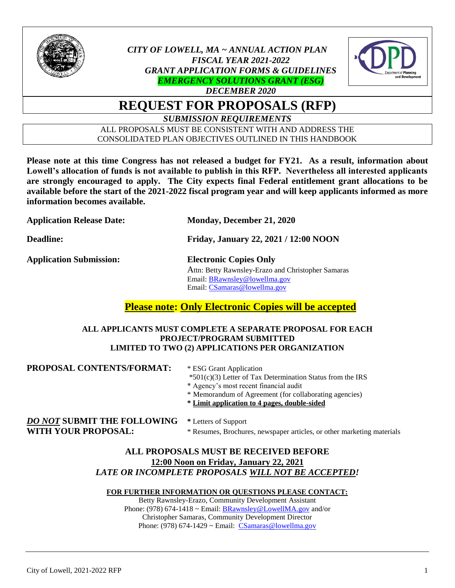

# *CITY OF LOWELL, MA ~ ANNUAL ACTION PLAN FISCAL YEAR 2021-2022 GRANT APPLICATION FORMS & GUIDELINES EMERGENCY SOLUTIONS GRANT (ESG)*



# *DECEMBER 2020* **REQUEST FOR PROPOSALS (RFP)**

*SUBMISSION REQUIREMENTS*

ALL PROPOSALS MUST BE CONSISTENT WITH AND ADDRESS THE CONSOLIDATED PLAN OBJECTIVES OUTLINED IN THIS HANDBOOK

**Please note at this time Congress has not released a budget for FY21. As a result, information about Lowell's allocation of funds is not available to publish in this RFP. Nevertheless all interested applicants are strongly encouraged to apply. The City expects final Federal entitlement grant allocations to be available before the start of the 2021-2022 fiscal program year and will keep applicants informed as more information becomes available.** 

| <b>Application Release Date:</b> | Monday, December 21, 2020                                                                                                                            |  |  |
|----------------------------------|------------------------------------------------------------------------------------------------------------------------------------------------------|--|--|
| <b>Deadline:</b>                 | Friday, January 22, 2021 / 12:00 NOON                                                                                                                |  |  |
| <b>Application Submission:</b>   | <b>Electronic Copies Only</b><br>Attn: Betty Rawnsley-Erazo and Christopher Samaras<br>Email: BRawnsley@lowellma.gov<br>Email: CSamaras@lowellma.gov |  |  |

# **Please note: Only Electronic Copies will be accepted**

#### **ALL APPLICANTS MUST COMPLETE A SEPARATE PROPOSAL FOR EACH PROJECT/PROGRAM SUBMITTED LIMITED TO TWO (2) APPLICATIONS PER ORGANIZATION**

| PROPOSAL CONTENTS/FORMAT:          | * ESG Grant Application<br>$*501(c)(3)$ Letter of Tax Determination Status from the IRS<br>* Agency's most recent financial audit<br>* Memorandum of Agreement (for collaborating agencies)<br>* Limit application to 4 pages, double-sided |  |  |
|------------------------------------|---------------------------------------------------------------------------------------------------------------------------------------------------------------------------------------------------------------------------------------------|--|--|
| <b>DO NOT SUBMIT THE FOLLOWING</b> | * Letters of Support                                                                                                                                                                                                                        |  |  |
| <b>WITH YOUR PROPOSAL:</b>         | * Resumes, Brochures, newspaper articles, or other marketing materials                                                                                                                                                                      |  |  |

### **ALL PROPOSALS MUST BE RECEIVED BEFORE 12:00 Noon on Friday, January 22, 2021** *LATE OR INCOMPLETE PROPOSALS WILL NOT BE ACCEPTED!*

## **FOR FURTHER INFORMATION OR QUESTIONS PLEASE CONTACT:**

Betty Rawnsley-Erazo, Community Development Assistant Phone: (978) 674-1418 ~ Email: [BRawnsley@LowellMA.gov](mailto:BRawnsley@LowellMA.gov) and/or Christopher Samaras, Community Development Director Phone: (978) 674-1429  $\sim$  Email: [CSamaras@lowellma.gov](mailto:CSamaras@lowellma.gov)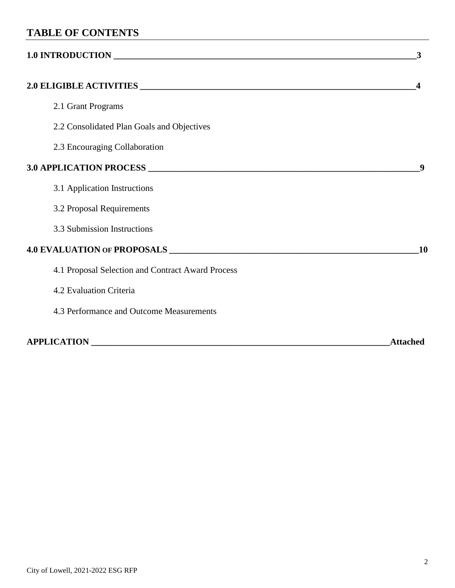# **TABLE OF CONTENTS**

# **1.0 INTRODUCTION \_\_\_\_\_\_\_\_\_\_\_\_\_\_\_\_\_\_\_\_\_\_\_\_\_\_\_\_\_\_\_\_\_\_\_\_\_\_\_\_\_\_\_\_\_\_\_\_\_\_\_\_\_\_\_\_\_\_\_\_\_\_\_\_\_\_\_\_3**

# **2.0 ELIGIBLE ACTIVITIES \_\_\_\_\_\_\_\_\_\_\_\_\_\_\_\_\_\_\_\_\_\_\_\_\_\_\_\_\_\_\_\_\_\_\_\_\_\_\_\_\_\_\_\_\_\_\_\_\_\_\_\_\_\_\_\_\_\_\_\_\_\_4**

|  |  | 2.1 Grant Programs |
|--|--|--------------------|
|--|--|--------------------|

- 2.2 Consolidated Plan Goals and Objectives
- 2.3 Encouraging Collaboration

## **3.0 APPLICATION PROCESS \_\_\_\_\_\_\_\_\_\_\_\_\_\_\_\_\_\_\_\_\_\_\_\_\_\_\_\_\_\_\_\_\_\_\_\_\_\_\_\_\_\_\_\_\_\_\_\_\_\_\_\_\_\_\_\_\_\_\_\_\_9**

- 3.1 Application Instructions
- 3.2 Proposal Requirements
- 3.3 Submission Instructions

# **4.0 EVALUATION OF PROPOSALS \_\_\_\_\_\_\_\_\_\_\_\_\_\_\_\_\_\_\_\_\_\_\_\_\_\_\_\_\_\_\_\_\_\_\_\_\_\_\_\_\_\_\_\_\_\_\_\_\_\_\_\_\_\_\_\_10**

- 4.1 Proposal Selection and Contract Award Process
- 4.2 Evaluation Criteria
- 4.3 Performance and Outcome Measurements

**APPLICATION \_\_\_\_\_\_\_\_\_\_\_\_\_\_\_\_\_\_\_\_\_\_\_\_\_\_\_\_\_\_\_\_\_\_\_\_\_\_\_\_\_\_\_\_\_\_\_\_\_\_\_\_\_\_\_\_\_\_\_\_\_\_\_\_\_\_\_Attached**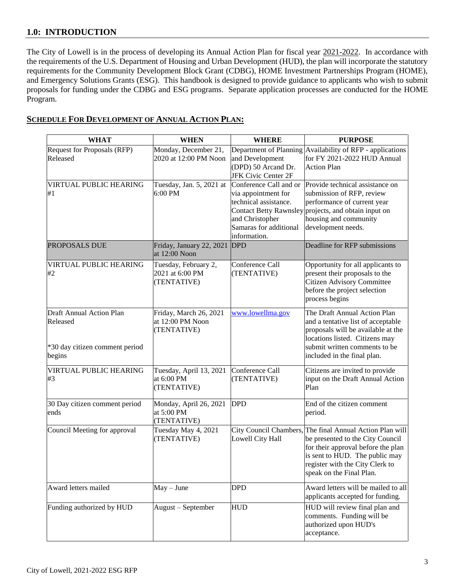## **1.0: INTRODUCTION**

The City of Lowell is in the process of developing its Annual Action Plan for fiscal year 2021-2022. In accordance with the requirements of the U.S. Department of Housing and Urban Development (HUD), the plan will incorporate the statutory requirements for the Community Development Block Grant (CDBG), HOME Investment Partnerships Program (HOME), and Emergency Solutions Grants (ESG). This handbook is designed to provide guidance to applicants who wish to submit proposals for funding under the CDBG and ESG programs. Separate application processes are conducted for the HOME Program.

### **SCHEDULE FOR DEVELOPMENT OF ANNUAL ACTION PLAN:**

| <b>WHAT</b>                                                                      | <b>WHEN</b>                                               | <b>WHERE</b>                                                                                                                        | <b>PURPOSE</b>                                                                                                                                                                                               |
|----------------------------------------------------------------------------------|-----------------------------------------------------------|-------------------------------------------------------------------------------------------------------------------------------------|--------------------------------------------------------------------------------------------------------------------------------------------------------------------------------------------------------------|
| Request for Proposals (RFP)<br>Released                                          | Monday, December 21,<br>2020 at 12:00 PM Noon             | and Development<br>(DPD) 50 Arcand Dr.<br><b>JFK Civic Center 2F</b>                                                                | Department of Planning Availability of RFP - applications<br>for FY 2021-2022 HUD Annual<br><b>Action Plan</b>                                                                                               |
| VIRTUAL PUBLIC HEARING<br>#1                                                     | Tuesday, Jan. 5, 2021 at<br>6:00 PM                       | Conference Call and or<br>via appointment for<br>technical assistance.<br>and Christopher<br>Samaras for additional<br>information. | Provide technical assistance on<br>submission of RFP, review<br>performance of current year<br>Contact Betty Rawnsley projects, and obtain input on<br>housing and community<br>development needs.           |
| PROPOSALS DUE                                                                    | Friday, January 22, 2021<br>at 12:00 Noon                 | <b>DPD</b>                                                                                                                          | Deadline for RFP submissions                                                                                                                                                                                 |
| VIRTUAL PUBLIC HEARING<br>#2                                                     | Tuesday, February 2,<br>2021 at 6:00 PM<br>(TENTATIVE)    | Conference Call<br>(TENTATIVE)                                                                                                      | Opportunity for all applicants to<br>present their proposals to the<br><b>Citizen Advisory Committee</b><br>before the project selection<br>process begins                                                   |
| Draft Annual Action Plan<br>Released<br>*30 day citizen comment period<br>begins | Friday, March 26, 2021<br>at 12:00 PM Noon<br>(TENTATIVE) | www.lowellma.gov                                                                                                                    | The Draft Annual Action Plan<br>and a tentative list of acceptable<br>proposals will be available at the<br>locations listed. Citizens may<br>submit written comments to be<br>included in the final plan.   |
| VIRTUAL PUBLIC HEARING<br>#3                                                     | Tuesday, April 13, 2021<br>at 6:00 PM<br>(TENTATIVE)      | Conference Call<br>(TENTATIVE)                                                                                                      | Citizens are invited to provide<br>input on the Draft Annual Action<br>Plan                                                                                                                                  |
| 30 Day citizen comment period<br>ends                                            | Monday, April 26, 2021<br>at 5:00 PM<br>(TENTATIVE)       | <b>DPD</b>                                                                                                                          | End of the citizen comment<br>period.                                                                                                                                                                        |
| Council Meeting for approval                                                     | Tuesday May 4, 2021<br>(TENTATIVE)                        | City Council Chambers,<br>Lowell City Hall                                                                                          | The final Annual Action Plan will<br>be presented to the City Council<br>for their approval before the plan<br>is sent to HUD. The public may<br>register with the City Clerk to<br>speak on the Final Plan. |
| Award letters mailed                                                             | $May - June$                                              | <b>DPD</b>                                                                                                                          | Award letters will be mailed to all<br>applicants accepted for funding.                                                                                                                                      |
| Funding authorized by HUD                                                        | August - September                                        | <b>HUD</b>                                                                                                                          | HUD will review final plan and<br>comments. Funding will be<br>authorized upon HUD's<br>acceptance.                                                                                                          |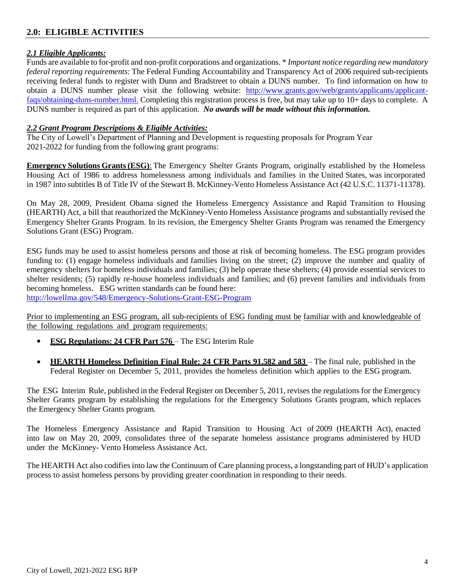# **2.0: ELIGIBLE ACTIVITIES**

#### *2.1 Eligible Applicants:*

Funds are available to for-profit and non-profit corporations and organizations. \* *Important notice regarding new mandatory federal reporting requirements*: The Federal Funding Accountability and Transparency Act of 2006 required sub-recipients receiving federal funds to register with Dunn and Bradstreet to obtain a DUNS number. To find information on how to obtain a DUNS number please visit the following website: [http://www.grants.gov/web/grants/applicants/applicant](http://www.grants.gov/web/grants/applicants/applicant-faqs/obtaining-duns-number.html)[faqs/obtaining-duns-number.html.](http://www.grants.gov/web/grants/applicants/applicant-faqs/obtaining-duns-number.html) Completing this registration process is free, but may take up to 10+ days to complete. A DUNS number is required as part of this application. *No awards will be made without this information.*

#### *2.2 Grant Program Descriptions & Eligible Activities:*

The City of Lowell's Department of Planning and Development is requesting proposals for Program Year 2021-2022 for funding from the following grant programs:

**Emergency Solutions Grants (ESG)**: The Emergency Shelter Grants Program, originally established by the Homeless Housing Act of 1986 to address homelessness among individuals and families in the United States, was incorporated in 1987 into subtitles B of Title IV of the Stewart B. McKinney-Vento Homeless Assistance Act (42 U.S.C. 11371-11378).

On May 28, 2009, President Obama signed the Homeless Emergency Assistance and Rapid Transition to Housing (HEARTH) Act, a bill that reauthorized the McKinney-Vento Homeless Assistance programs and substantially revised the Emergency Shelter Grants Program. In its revision, the Emergency Shelter Grants Program was renamed the Emergency Solutions Grant (ESG) Program.

ESG funds may be used to assist homeless persons and those at risk of becoming homeless. The ESG program provides funding to: (1) engage homeless individuals and families living on the street; (2) improve the number and quality of emergency shelters for homeless individuals and families; (3) help operate these shelters; (4) provide essential services to shelter residents; (5) rapidly re-house homeless individuals and families; and (6) prevent families and individuals from becoming homeless. ESG written standards can be found here: <http://lowellma.gov/548/Emergency-Solutions-Grant-ESG-Program>

Prior to implementing an ESG program, all sub-recipients of ESG funding must be familiar with and knowledgeable of

the following regulations and program requirements:

- **ESG Regulations: 24 CFR Part 576**  The ESG Interim Rule
- **HEARTH Homeless Definition Final Rule: 24 CFR Parts 91.582 and 583**  The final rule, published in the Federal Register on December 5, 2011, provides the homeless definition which applies to the ESG program.

The ESG Interim Rule, published in the Federal Register on December 5, 2011, revises the regulations for the Emergency Shelter Grants program by establishing the regulations for the Emergency Solutions Grants program, which replaces the Emergency Shelter Grants program.

The Homeless Emergency Assistance and Rapid Transition to Housing Act of 2009 (HEARTH Act), enacted into law on May 20, 2009, consolidates three of the separate homeless assistance programs administered by HUD under the McKinney- Vento Homeless Assistance Act.

The HEARTH Act also codifies into law the Continuum of Care planning process, a longstanding part of HUD's application process to assist homeless persons by providing greater coordination in responding to their needs.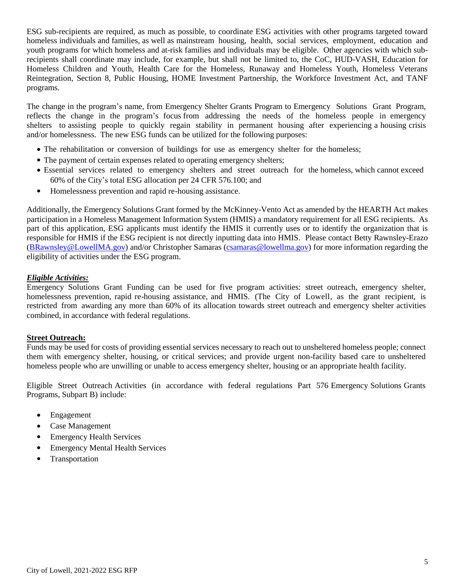ESG sub-recipients are required, as much as possible, to coordinate ESG activities with other programs targeted toward homeless individuals and families, as well as mainstream housing, health, social services, employment, education and youth programs for which homeless and at-risk families and individuals may be eligible. Other agencies with which subrecipients shall coordinate may include, for example, but shall not be limited to, the CoC, HUD-VASH, Education for Homeless Children and Youth, Health Care for the Homeless, Runaway and Homeless Youth, Homeless Veterans Reintegration, Section 8, Public Housing, HOME Investment Partnership, the Workforce Investment Act, and TANF programs.

The change in the program's name, from Emergency Shelter Grants Program to Emergency Solutions Grant Program, reflects the change in the program's focus from addressing the needs of the homeless people in emergency shelters to assisting people to quickly regain stability in permanent housing after experiencing a housing crisis and/or homelessness. The new ESG funds can be utilized for the following purposes:

- The rehabilitation or conversion of buildings for use as emergency shelter for the homeless;
- The payment of certain expenses related to operating emergency shelters;
- Essential services related to emergency shelters and street outreach for the homeless, which cannot exceed 60% of the City's total ESG allocation per 24 CFR 576.100; and
- Homelessness prevention and rapid re-housing assistance.

Additionally, the Emergency Solutions Grant formed by the McKinney-Vento Act as amended by the HEARTH Act makes participation in a Homeless Management Information System (HMIS) a mandatory requirement for all ESG recipients. As part of this application, ESG applicants must identify the HMIS it currently uses or to identify the organization that is responsible for HMIS if the ESG recipient is not directly inputting data into HMIS. Please contact Betty Rawnsley-Erazo [\(BRawnsley@LowellMA.gov\)](mailto:BRawnsley@LowellMA.gov) and/or Christopher Samaras [\(csamaras@lowellma.gov\)](mailto:csamaras@lowellma.gov) for more information regarding the eligibility of activities under the ESG program.

#### *Eligible Activities:*

Emergency Solutions Grant Funding can be used for five program activities: street outreach, emergency shelter, homelessness prevention, rapid re-housing assistance, and HMIS. (The City of Lowell, as the grant recipient, is restricted from awarding any more than 60% of its allocation towards street outreach and emergency shelter activities combined, in accordance with federal regulations.

#### **Street Outreach:**

Funds may be used for costs of providing essential services necessary to reach out to unsheltered homeless people; connect them with emergency shelter, housing, or critical services; and provide urgent non-facility based care to unsheltered homeless people who are unwilling or unable to access emergency shelter, housing or an appropriate health facility.

Eligible Street Outreach Activities (in accordance with federal regulations Part 576 Emergency Solutions Grants Programs, Subpart B) include:

- Engagement
- Case Management
- Emergency Health Services
- Emergency Mental Health Services
- Transportation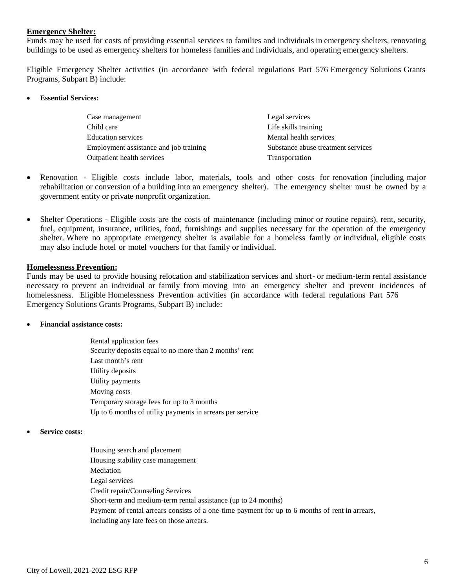#### **Emergency Shelter:**

Funds may be used for costs of providing essential services to families and individuals in emergency shelters, renovating buildings to be used as emergency shelters for homeless families and individuals, and operating emergency shelters.

Eligible Emergency Shelter activities (in accordance with federal regulations Part 576 Emergency Solutions Grants Programs, Subpart B) include:

**Essential Services:**

| Case management                        | Legal services                     |
|----------------------------------------|------------------------------------|
| Child care                             | Life skills training               |
| <b>Education services</b>              | Mental health services             |
| Employment assistance and job training | Substance abuse treatment services |
| Outpatient health services             | Transportation                     |

- Renovation Eligible costs include labor, materials, tools and other costs for renovation (including major rehabilitation or conversion of a building into an emergency shelter). The emergency shelter must be owned by a government entity or private nonprofit organization.
- Shelter Operations Eligible costs are the costs of maintenance (including minor or routine repairs), rent, security, fuel, equipment, insurance, utilities, food, furnishings and supplies necessary for the operation of the emergency shelter. Where no appropriate emergency shelter is available for a homeless family or individual, eligible costs may also include hotel or motel vouchers for that family or individual.

#### **Homelessness Prevention:**

Funds may be used to provide housing relocation and stabilization services and short- or medium-term rental assistance necessary to prevent an individual or family from moving into an emergency shelter and prevent incidences of homelessness. Eligible Homelessness Prevention activities (in accordance with federal regulations Part 576 Emergency Solutions Grants Programs, Subpart B) include:

**Financial assistance costs:**

Rental application fees Security deposits equal to no more than 2 months' rent Last month's rent Utility deposits Utility payments Moving costs Temporary storage fees for up to 3 months Up to 6 months of utility payments in arrears per service

**Service costs:**

Housing search and placement Housing stability case management Mediation Legal services Credit repair/Counseling Services Short-term and medium-term rental assistance (up to 24 months) Payment of rental arrears consists of a one-time payment for up to 6 months of rent in arrears, including any late fees on those arrears.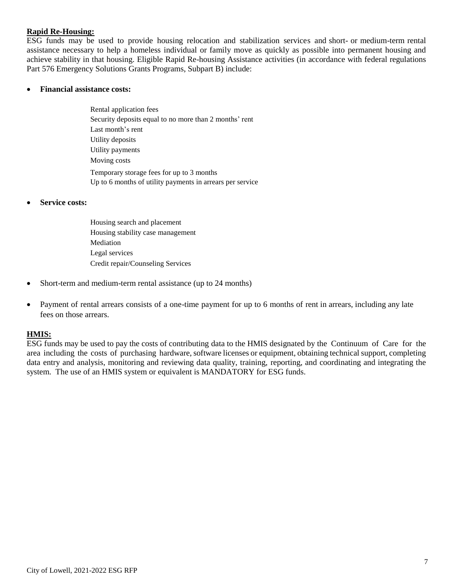#### **Rapid Re-Housing:**

ESG funds may be used to provide housing relocation and stabilization services and short- or medium-term rental assistance necessary to help a homeless individual or family move as quickly as possible into permanent housing and achieve stability in that housing. Eligible Rapid Re-housing Assistance activities (in accordance with federal regulations Part 576 Emergency Solutions Grants Programs, Subpart B) include:

#### **Financial assistance costs:**

Rental application fees Security deposits equal to no more than 2 months' rent Last month's rent Utility deposits Utility payments Moving costs Temporary storage fees for up to 3 months Up to 6 months of utility payments in arrears per service

#### **Service costs:**

Housing search and placement Housing stability case management Mediation Legal services Credit repair/Counseling Services

- Short-term and medium-term rental assistance (up to 24 months)
- Payment of rental arrears consists of a one-time payment for up to 6 months of rent in arrears, including any late fees on those arrears.

#### **HMIS:**

ESG funds may be used to pay the costs of contributing data to the HMIS designated by the Continuum of Care for the area including the costs of purchasing hardware, software licenses or equipment, obtaining technical support, completing data entry and analysis, monitoring and reviewing data quality, training, reporting, and coordinating and integrating the system. The use of an HMIS system or equivalent is MANDATORY for ESG funds.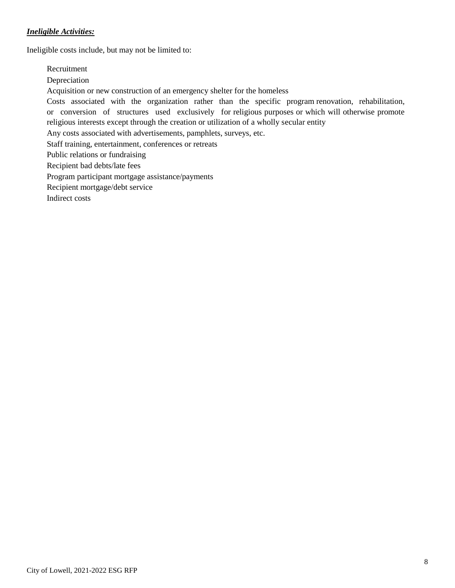### *Ineligible Activities:*

Ineligible costs include, but may not be limited to:

Recruitment Depreciation Acquisition or new construction of an emergency shelter for the homeless Costs associated with the organization rather than the specific program renovation, rehabilitation, or conversion of structures used exclusively for religious purposes or which will otherwise promote religious interests except through the creation or utilization of a wholly secular entity Any costs associated with advertisements, pamphlets, surveys, etc. Staff training, entertainment, conferences or retreats Public relations or fundraising Recipient bad debts/late fees Program participant mortgage assistance/payments Recipient mortgage/debt service Indirect costs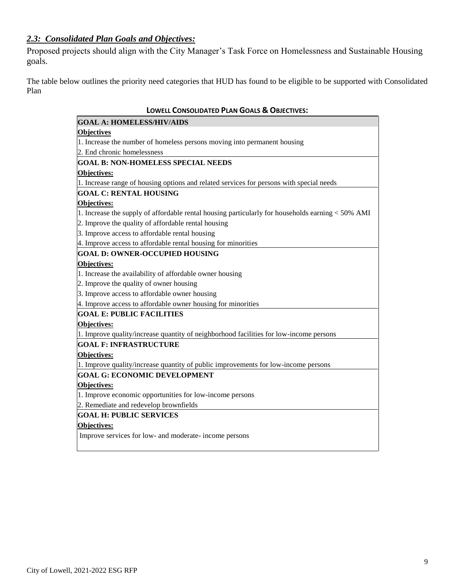# *2.3: Consolidated Plan Goals and Objectives:*

Proposed projects should align with the City Manager's Task Force on Homelessness and Sustainable Housing goals.

The table below outlines the priority need categories that HUD has found to be eligible to be supported with Consolidated Plan

| <b>LOWELL CONSOLIDATED PLAN GOALS &amp; OBJECTIVES:</b>                                           |  |  |  |  |
|---------------------------------------------------------------------------------------------------|--|--|--|--|
| <b>GOAL A: HOMELESS/HIV/AIDS</b>                                                                  |  |  |  |  |
| <b>Objectives</b>                                                                                 |  |  |  |  |
| 1. Increase the number of homeless persons moving into permanent housing                          |  |  |  |  |
| 2. End chronic homelessness                                                                       |  |  |  |  |
| <b>GOAL B: NON-HOMELESS SPECIAL NEEDS</b>                                                         |  |  |  |  |
| Objectives:                                                                                       |  |  |  |  |
| 1. Increase range of housing options and related services for persons with special needs          |  |  |  |  |
| <b>GOAL C: RENTAL HOUSING</b>                                                                     |  |  |  |  |
| Objectives:                                                                                       |  |  |  |  |
| 1. Increase the supply of affordable rental housing particularly for households earning < 50% AMI |  |  |  |  |
| 2. Improve the quality of affordable rental housing                                               |  |  |  |  |
| 3. Improve access to affordable rental housing                                                    |  |  |  |  |
| 4. Improve access to affordable rental housing for minorities                                     |  |  |  |  |
| <b>GOAL D: OWNER-OCCUPIED HOUSING</b>                                                             |  |  |  |  |
| Objectives:                                                                                       |  |  |  |  |
| 1. Increase the availability of affordable owner housing                                          |  |  |  |  |
| 2. Improve the quality of owner housing                                                           |  |  |  |  |
| 3. Improve access to affordable owner housing                                                     |  |  |  |  |
| 4. Improve access to affordable owner housing for minorities                                      |  |  |  |  |
| <b>GOAL E: PUBLIC FACILITIES</b>                                                                  |  |  |  |  |
| Objectives:                                                                                       |  |  |  |  |
| 1. Improve quality/increase quantity of neighborhood facilities for low-income persons            |  |  |  |  |
| <b>GOAL F: INFRASTRUCTURE</b>                                                                     |  |  |  |  |
| <b>Objectives:</b>                                                                                |  |  |  |  |
| 1. Improve quality/increase quantity of public improvements for low-income persons                |  |  |  |  |
| <b>GOAL G: ECONOMIC DEVELOPMENT</b>                                                               |  |  |  |  |
| Objectives:                                                                                       |  |  |  |  |
| 1. Improve economic opportunities for low-income persons                                          |  |  |  |  |
| 2. Remediate and redevelop brownfields                                                            |  |  |  |  |
| <b>GOAL H: PUBLIC SERVICES</b>                                                                    |  |  |  |  |
| <b>Objectives:</b>                                                                                |  |  |  |  |
| Improve services for low- and moderate- income persons                                            |  |  |  |  |
|                                                                                                   |  |  |  |  |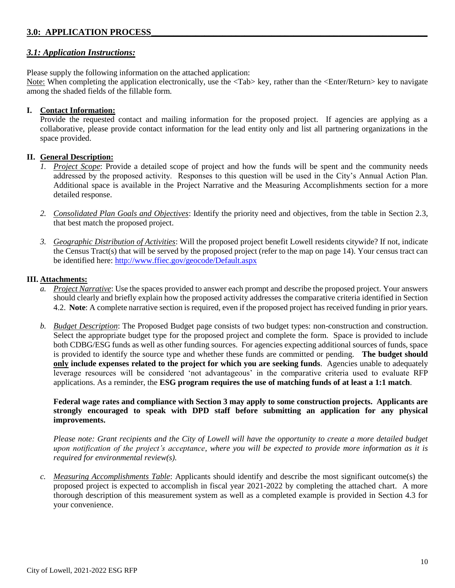## **3.0: APPLICATION PROCESS**

#### *3.1: Application Instructions:*

Please supply the following information on the attached application:

Note: When completing the application electronically, use the <Tab> key, rather than the <Enter/Return> key to navigate among the shaded fields of the fillable form.

#### **I. Contact Information:**

Provide the requested contact and mailing information for the proposed project. If agencies are applying as a collaborative, please provide contact information for the lead entity only and list all partnering organizations in the space provided.

#### **II. General Description:**

- *1. Project Scope*: Provide a detailed scope of project and how the funds will be spent and the community needs addressed by the proposed activity. Responses to this question will be used in the City's Annual Action Plan. Additional space is available in the Project Narrative and the Measuring Accomplishments section for a more detailed response.
- *2. Consolidated Plan Goals and Objectives*: Identify the priority need and objectives, from the table in Section 2.3, that best match the proposed project.
- *3. Geographic Distribution of Activities*: Will the proposed project benefit Lowell residents citywide? If not, indicate the Census Tract(s) that will be served by the proposed project (refer to the map on page 14). Your census tract can be identified here:<http://www.ffiec.gov/geocode/Default.aspx>

#### **III. Attachments:**

- *a. Project Narrative*: Use the spaces provided to answer each prompt and describe the proposed project. Your answers should clearly and briefly explain how the proposed activity addresses the comparative criteria identified in Section 4.2. **Note**: A complete narrative section is required, even if the proposed project has received funding in prior years.
- *b. Budget Description*: The Proposed Budget page consists of two budget types: non-construction and construction. Select the appropriate budget type for the proposed project and complete the form. Space is provided to include both CDBG/ESG funds as well as other funding sources. For agencies expecting additional sources of funds, space is provided to identify the source type and whether these funds are committed or pending. **The budget should only include expenses related to the project for which you are seeking funds**. Agencies unable to adequately leverage resources will be considered 'not advantageous' in the comparative criteria used to evaluate RFP applications. As a reminder, the **ESG program requires the use of matching funds of at least a 1:1 match**.

**Federal wage rates and compliance with Section 3 may apply to some construction projects. Applicants are strongly encouraged to speak with DPD staff before submitting an application for any physical improvements.**

*Please note: Grant recipients and the City of Lowell will have the opportunity to create a more detailed budget upon notification of the project's acceptance, where you will be expected to provide more information as it is required for environmental review(s).*

*c. Measuring Accomplishments Table*: Applicants should identify and describe the most significant outcome(s) the proposed project is expected to accomplish in fiscal year 2021-2022 by completing the attached chart. A more thorough description of this measurement system as well as a completed example is provided in Section 4.3 for your convenience.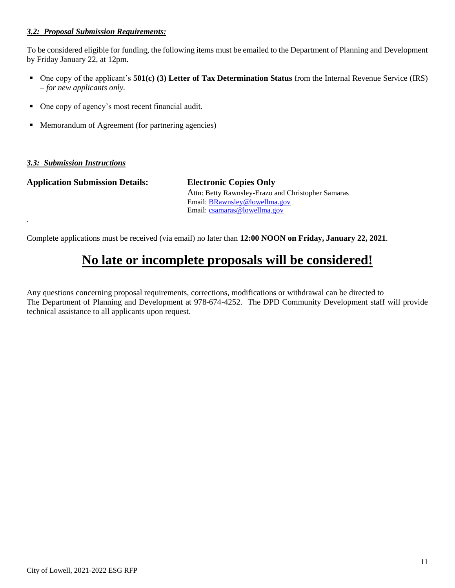#### *3.2: Proposal Submission Requirements:*

To be considered eligible for funding, the following items must be emailed to the Department of Planning and Development by Friday January 22, at 12pm.

- One copy of the applicant's **501(c) (3) Letter of Tax Determination Status** from the Internal Revenue Service (IRS) – *for new applicants only.*
- One copy of agency's most recent financial audit.
- Memorandum of Agreement (for partnering agencies)

#### *3.3: Submission Instructions*

.

**Application Submission Details: Electronic Copies Only**

Attn: Betty Rawnsley-Erazo and Christopher Samaras Email: [BRawnsley@lowellma.gov](mailto:BRawnsley@lowellma.gov) Email: [csamaras@lowellma.gov](mailto:csamaras@lowellma.gov)

Complete applications must be received (via email) no later than **12:00 NOON on Friday, January 22, 2021**.

# **No late or incomplete proposals will be considered!**

Any questions concerning proposal requirements, corrections, modifications or withdrawal can be directed to The Department of Planning and Development at 978-674-4252. The DPD Community Development staff will provide technical assistance to all applicants upon request.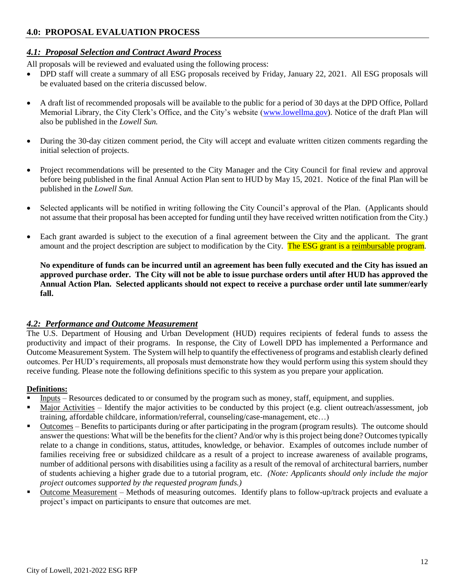## **4.0: PROPOSAL EVALUATION PROCESS**

### *4.1: Proposal Selection and Contract Award Process*

All proposals will be reviewed and evaluated using the following process:

- DPD staff will create a summary of all ESG proposals received by Friday, January 22, 2021. All ESG proposals will be evaluated based on the criteria discussed below.
- A draft list of recommended proposals will be available to the public for a period of 30 days at the DPD Office, Pollard Memorial Library, the City Clerk's Office, and the City's website [\(www.lowellma.gov\)](http://www.lowellma.gov/). Notice of the draft Plan will also be published in the *Lowell Sun.*
- During the 30-day citizen comment period, the City will accept and evaluate written citizen comments regarding the initial selection of projects.
- Project recommendations will be presented to the City Manager and the City Council for final review and approval before being published in the final Annual Action Plan sent to HUD by May 15, 2021. Notice of the final Plan will be published in the *Lowell Sun*.
- Selected applicants will be notified in writing following the City Council's approval of the Plan. (Applicants should not assume that their proposal has been accepted for funding until they have received written notification from the City.)
- Each grant awarded is subject to the execution of a final agreement between the City and the applicant. The grant amount and the project description are subject to modification by the City. The ESG grant is a reimbursable program.

**No expenditure of funds can be incurred until an agreement has been fully executed and the City has issued an approved purchase order. The City will not be able to issue purchase orders until after HUD has approved the Annual Action Plan. Selected applicants should not expect to receive a purchase order until late summer/early fall.**

#### *4.2: Performance and Outcome Measurement*

The U.S. Department of Housing and Urban Development (HUD) requires recipients of federal funds to assess the productivity and impact of their programs. In response, the City of Lowell DPD has implemented a Performance and Outcome Measurement System. The System will help to quantify the effectiveness of programs and establish clearly defined outcomes. Per HUD's requirements, all proposals must demonstrate how they would perform using this system should they receive funding. Please note the following definitions specific to this system as you prepare your application.

#### **Definitions:**

- Inputs Resources dedicated to or consumed by the program such as money, staff, equipment, and supplies.
- Major Activities Identify the major activities to be conducted by this project (e.g. client outreach/assessment, job training, affordable childcare, information/referral, counseling/case-management, etc…)
- Outcomes Benefits to participants during or after participating in the program (program results). The outcome should answer the questions: What will be the benefits for the client? And/or why is this project being done? Outcomes typically relate to a change in conditions, status, attitudes, knowledge, or behavior. Examples of outcomes include number of families receiving free or subsidized childcare as a result of a project to increase awareness of available programs, number of additional persons with disabilities using a facility as a result of the removal of architectural barriers, number of students achieving a higher grade due to a tutorial program, etc. *(Note: Applicants should only include the major project outcomes supported by the requested program funds.)*
- Outcome Measurement Methods of measuring outcomes. Identify plans to follow-up/track projects and evaluate a project's impact on participants to ensure that outcomes are met.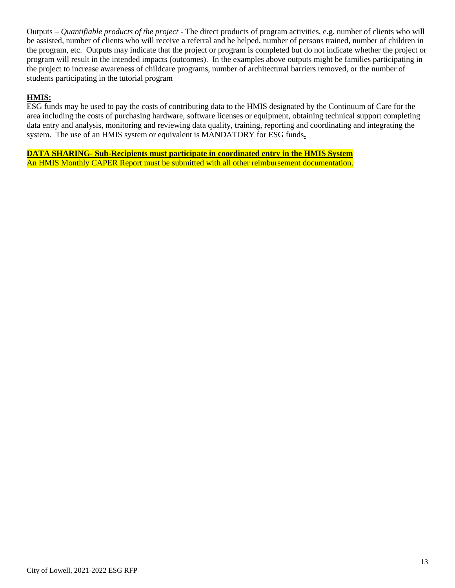Outputs – *Quantifiable products of the project* - The direct products of program activities, e.g. number of clients who will be assisted, number of clients who will receive a referral and be helped, number of persons trained, number of children in the program, etc. Outputs may indicate that the project or program is completed but do not indicate whether the project or program will result in the intended impacts (outcomes). In the examples above outputs might be families participating in the project to increase awareness of childcare programs, number of architectural barriers removed, or the number of students participating in the tutorial program

#### **HMIS:**

ESG funds may be used to pay the costs of contributing data to the HMIS designated by the Continuum of Care for the area including the costs of purchasing hardware, software licenses or equipment, obtaining technical support completing data entry and analysis, monitoring and reviewing data quality, training, reporting and coordinating and integrating the system. The use of an HMIS system or equivalent is MANDATORY for ESG funds**.**

**DATA SHARING- Sub-Recipients must participate in coordinated entry in the HMIS System** An HMIS Monthly CAPER Report must be submitted with all other reimbursement documentation.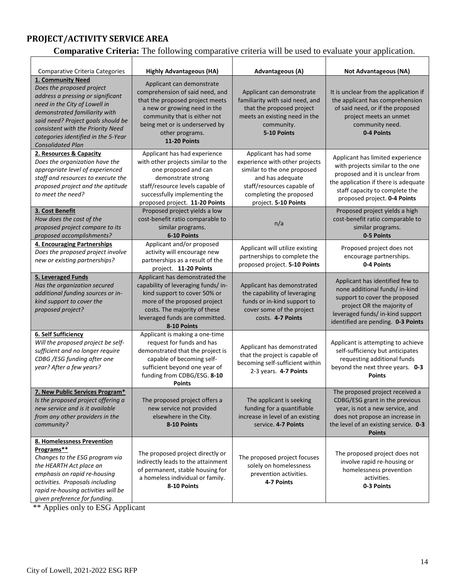# **PROJECT/ACTIVITY SERVICE AREA**

 $\mathsf{r}$ 

# **Comparative Criteria:** The following comparative criteria will be used to evaluate your application.

| Comparative Criteria Categories                                                                                                                                                                                                                                                                     | <b>Highly Advantageous (HA)</b>                                                                                                                                                                                                      | Advantageous (A)                                                                                                                                                                             | <b>Not Advantageous (NA)</b>                                                                                                                                                                                      |
|-----------------------------------------------------------------------------------------------------------------------------------------------------------------------------------------------------------------------------------------------------------------------------------------------------|--------------------------------------------------------------------------------------------------------------------------------------------------------------------------------------------------------------------------------------|----------------------------------------------------------------------------------------------------------------------------------------------------------------------------------------------|-------------------------------------------------------------------------------------------------------------------------------------------------------------------------------------------------------------------|
| 1. Community Need<br>Does the proposed project<br>address a pressing or significant<br>need in the City of Lowell in<br>demonstrated familiarity with<br>said need? Project goals should be<br>consistent with the Priority Need<br>categories identified in the 5-Year<br><b>Consolidated Plan</b> | Applicant can demonstrate<br>comprehension of said need, and<br>that the proposed project meets<br>a new or growing need in the<br>community that is either not<br>being met or is underserved by<br>other programs.<br>11-20 Points | Applicant can demonstrate<br>familiarity with said need, and<br>that the proposed project<br>meets an existing need in the<br>community.<br>5-10 Points                                      | It is unclear from the application if<br>the applicant has comprehension<br>of said need, or if the proposed<br>project meets an unmet<br>community need.<br>0-4 Points                                           |
| 2. Resources & Capacity<br>Does the organization have the<br>appropriate level of experienced<br>staff and resources to execute the<br>proposed project and the aptitude<br>to meet the need?                                                                                                       | Applicant has had experience<br>with other projects similar to the<br>one proposed and can<br>demonstrate strong<br>staff/resource levels capable of<br>successfully implementing the<br>proposed project. 11-20 Points              | Applicant has had some<br>experience with other projects<br>similar to the one proposed<br>and has adequate<br>staff/resources capable of<br>completing the proposed<br>project. 5-10 Points | Applicant has limited experience<br>with projects similar to the one<br>proposed and it is unclear from<br>the application if there is adequate<br>staff capacity to complete the<br>proposed project. 0-4 Points |
| 3. Cost Benefit<br>How does the cost of the<br>proposed project compare to its<br>proposed accomplishments?                                                                                                                                                                                         | Proposed project yields a low<br>cost-benefit ratio comparable to<br>similar programs.<br>6-10 Points                                                                                                                                | n/a                                                                                                                                                                                          | Proposed project yields a high<br>cost-benefit ratio comparable to<br>similar programs.<br>0-5 Points                                                                                                             |
| 4. Encouraging Partnerships<br>Does the proposed project involve<br>new or existing partnerships?                                                                                                                                                                                                   | Applicant and/or proposed<br>activity will encourage new<br>partnerships as a result of the<br>project. 11-20 Points                                                                                                                 | Applicant will utilize existing<br>partnerships to complete the<br>proposed project. 5-10 Points                                                                                             | Proposed project does not<br>encourage partnerships.<br>0-4 Points                                                                                                                                                |
| 5. Leveraged Funds<br>Has the organization secured<br>additional funding sources or in-<br>kind support to cover the<br>proposed project?                                                                                                                                                           | Applicant has demonstrated the<br>capability of leveraging funds/ in-<br>kind support to cover 50% or<br>more of the proposed project<br>costs. The majority of these<br>leveraged funds are committed.<br>8-10 Points               | Applicant has demonstrated<br>the capability of leveraging<br>funds or in-kind support to<br>cover some of the project<br>costs. 4-7 Points                                                  | Applicant has identified few to<br>none additional funds/ in-kind<br>support to cover the proposed<br>project OR the majority of<br>leveraged funds/ in-kind support<br>identified are pending. 0-3 Points        |
| <b>6. Self Sufficiency</b><br>Will the proposed project be self-<br>sufficient and no longer require<br>CDBG /ESG funding after one<br>year? After a few years?                                                                                                                                     | Applicant is making a one-time<br>request for funds and has<br>demonstrated that the project is<br>capable of becoming self-<br>sufficient beyond one year of<br>funding from CDBG/ESG. 8-10<br><b>Points</b>                        | Applicant has demonstrated<br>that the project is capable of<br>becoming self-sufficient within<br>2-3 years. 4-7 Points                                                                     | Applicant is attempting to achieve<br>self-sufficiency but anticipates<br>requesting additional funds<br>beyond the next three years. 0-3<br><b>Points</b>                                                        |
| 7. New Public Services Program*<br>Is the proposed project offering a<br>new service and is it available<br>from any other providers in the<br>community?                                                                                                                                           | The proposed project offers a<br>new service not provided<br>elsewhere in the City.<br>8-10 Points                                                                                                                                   | The applicant is seeking<br>funding for a quantifiable<br>increase in level of an existing<br>service. 4-7 Points                                                                            | The proposed project received a<br>CDBG/ESG grant in the previous<br>year, is not a new service, and<br>does not propose an increase in<br>the level of an existing service. 0-3<br><b>Points</b>                 |
| 8. Homelessness Prevention<br>Programs**<br>Changes to the ESG program via<br>the HEARTH Act place an<br>emphasis on rapid re-housing<br>activities. Proposals including<br>rapid re-housing activities will be<br>given preference for funding.                                                    | The proposed project directly or<br>indirectly leads to the attainment<br>of permanent, stable housing for<br>a homeless individual or family.<br>8-10 Points                                                                        | The proposed project focuses<br>solely on homelessness<br>prevention activities.<br>4-7 Points                                                                                               | The proposed project does not<br>involve rapid re-housing or<br>homelessness prevention<br>activities.<br>0-3 Points                                                                                              |

\*\* Applies only to ESG Applicant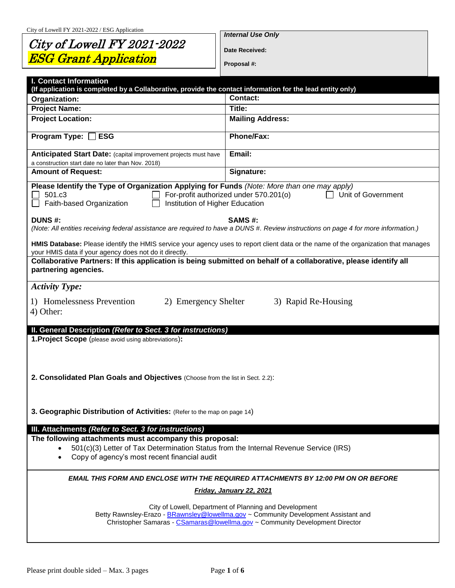# City of Lowell FY 2021-2022 ESG Grant Application

*Internal Use Only*

**Date Received:**

**Proposal #:**

| <b>I. Contact Information</b><br>(If application is completed by a Collaborative, provide the contact information for the lead entity only)                          |                                                                                                                                                                                                                               |
|----------------------------------------------------------------------------------------------------------------------------------------------------------------------|-------------------------------------------------------------------------------------------------------------------------------------------------------------------------------------------------------------------------------|
| Organization:                                                                                                                                                        | <b>Contact:</b>                                                                                                                                                                                                               |
| <b>Project Name:</b>                                                                                                                                                 | Title:                                                                                                                                                                                                                        |
| <b>Project Location:</b>                                                                                                                                             | <b>Mailing Address:</b>                                                                                                                                                                                                       |
| Program Type: $\square$<br><b>ESG</b>                                                                                                                                | Phone/Fax:                                                                                                                                                                                                                    |
| Anticipated Start Date: (capital improvement projects must have<br>a construction start date no later than Nov. 2018)                                                | Email:                                                                                                                                                                                                                        |
| <b>Amount of Request:</b>                                                                                                                                            | Signature:                                                                                                                                                                                                                    |
| Please Identify the Type of Organization Applying for Funds (Note: More than one may apply)<br>501.c3<br>Faith-based Organization<br>Institution of Higher Education | For-profit authorized under 570.201(o)<br>Unit of Government                                                                                                                                                                  |
| <b>DUNS#:</b>                                                                                                                                                        | SAMS#:<br>(Note: All entities receiving federal assistance are required to have a DUNS #. Review instructions on page 4 for more information.)                                                                                |
| your HMIS data if your agency does not do it directly.                                                                                                               | HMIS Database: Please identify the HMIS service your agency uses to report client data or the name of the organization that manages                                                                                           |
| Collaborative Partners: If this application is being submitted on behalf of a collaborative, please identify all<br>partnering agencies.                             |                                                                                                                                                                                                                               |
| <b>Activity Type:</b>                                                                                                                                                |                                                                                                                                                                                                                               |
| 1) Homelessness Prevention<br>2) Emergency Shelter<br>4) Other:                                                                                                      | 3) Rapid Re-Housing                                                                                                                                                                                                           |
| II. General Description (Refer to Sect. 3 for instructions)                                                                                                          |                                                                                                                                                                                                                               |
| <b>1. Project Scope</b> (please avoid using abbreviations):                                                                                                          |                                                                                                                                                                                                                               |
| 2. Consolidated Plan Goals and Objectives (Choose from the list in Sect. 2.2):                                                                                       |                                                                                                                                                                                                                               |
| 3. Geographic Distribution of Activities: (Refer to the map on page 14)                                                                                              |                                                                                                                                                                                                                               |
| III. Attachments (Refer to Sect. 3 for instructions)                                                                                                                 |                                                                                                                                                                                                                               |
| The following attachments must accompany this proposal:<br>501(c)(3) Letter of Tax Determination Status from the Internal Revenue Service (IRS)                      |                                                                                                                                                                                                                               |
| Copy of agency's most recent financial audit<br>$\bullet$                                                                                                            |                                                                                                                                                                                                                               |
|                                                                                                                                                                      | EMAIL THIS FORM AND ENCLOSE WITH THE REQUIRED ATTACHMENTS BY 12:00 PM ON OR BEFORE                                                                                                                                            |
|                                                                                                                                                                      | Friday, January 22, 2021                                                                                                                                                                                                      |
|                                                                                                                                                                      | City of Lowell, Department of Planning and Development<br>Betty Rawnsley-Erazo - BRawnsley@lowellma.gov ~ Community Development Assistant and<br>Christopher Samaras - CSamaras@lowellma.gov ~ Community Development Director |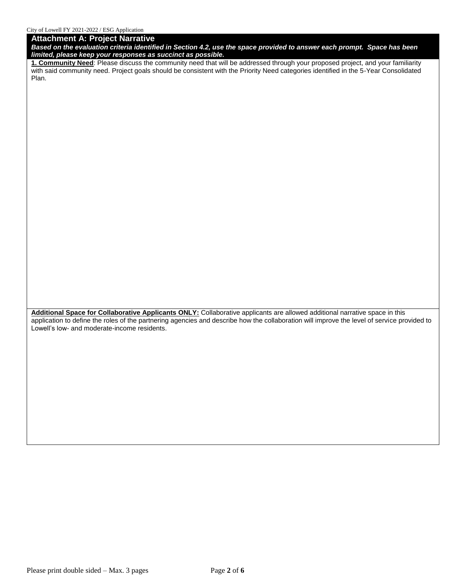#### **Attachment A: Project Narrative**

*Based on the evaluation criteria identified in Section 4.2, use the space provided to answer each prompt. Space has been limited, please keep your responses as succinct as possible.* 

**1. Community Need**: Please discuss the community need that will be addressed through your proposed project, and your familiarity with said community need. Project goals should be consistent with the Priority Need categories identified in the 5-Year Consolidated Plan.

**Additional Space for Collaborative Applicants ONLY:** Collaborative applicants are allowed additional narrative space in this application to define the roles of the partnering agencies and describe how the collaboration will improve the level of service provided to Lowell's low- and moderate-income residents.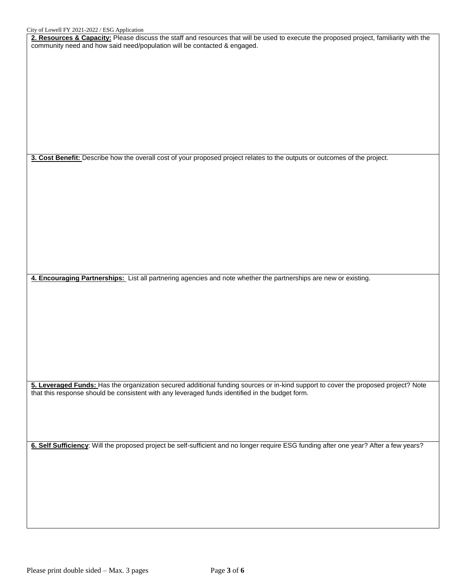**2. Resources & Capacity:** Please discuss the staff and resources that will be used to execute the proposed project, familiarity with the community need and how said need/population will be contacted & engaged.

**3. Cost Benefit:** Describe how the overall cost of your proposed project relates to the outputs or outcomes of the project.

**4. Encouraging Partnerships:** List all partnering agencies and note whether the partnerships are new or existing.

**5. Leveraged Funds:** Has the organization secured additional funding sources or in-kind support to cover the proposed project? Note that this response should be consistent with any leveraged funds identified in the budget form.

**6. Self Sufficiency**: Will the proposed project be self-sufficient and no longer require ESG funding after one year? After a few years?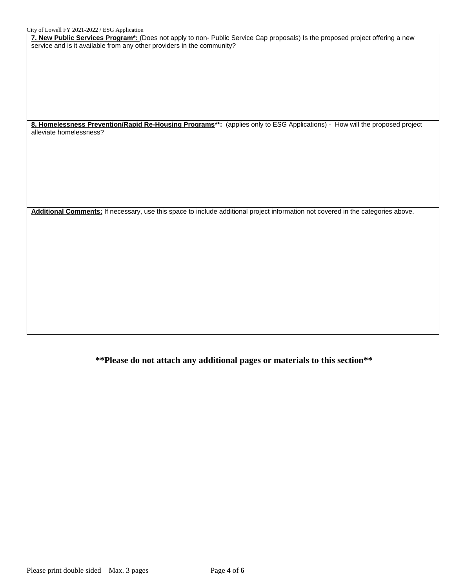**7. New Public Services Program\*:** (Does not apply to non- Public Service Cap proposals) Is the proposed project offering a new service and is it available from any other providers in the community?

8. Homelessness Prevention/Rapid Re-Housing Programs<sup>\*\*</sup>: (applies only to ESG Applications) - How will the proposed project alleviate homelessness?

**Additional Comments:** If necessary, use this space to include additional project information not covered in the categories above.

**\*\*Please do not attach any additional pages or materials to this section\*\***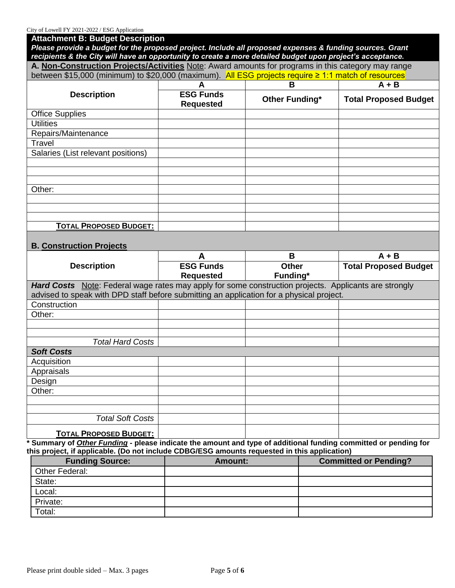| City of Lowell FY 2021-2022 / ESG Application                                                                                                                                                                     |                                      |                |                              |  |  |  |
|-------------------------------------------------------------------------------------------------------------------------------------------------------------------------------------------------------------------|--------------------------------------|----------------|------------------------------|--|--|--|
| <b>Attachment B: Budget Description</b>                                                                                                                                                                           |                                      |                |                              |  |  |  |
| Please provide a budget for the proposed project. Include all proposed expenses & funding sources. Grant                                                                                                          |                                      |                |                              |  |  |  |
| recipients & the City will have an opportunity to create a more detailed budget upon project's acceptance.<br>A. Non-Construction Projects/Activities Note: Award amounts for programs in this category may range |                                      |                |                              |  |  |  |
|                                                                                                                                                                                                                   |                                      |                |                              |  |  |  |
| between \$15,000 (minimum) to \$20,000 (maximum). All ESG projects require ≥ 1:1 match of resources                                                                                                               |                                      |                |                              |  |  |  |
|                                                                                                                                                                                                                   | А                                    | в              | $A + B$                      |  |  |  |
| <b>Description</b>                                                                                                                                                                                                | <b>ESG Funds</b><br><b>Requested</b> | Other Funding* | <b>Total Proposed Budget</b> |  |  |  |
| <b>Office Supplies</b>                                                                                                                                                                                            |                                      |                |                              |  |  |  |
| <b>Utilities</b>                                                                                                                                                                                                  |                                      |                |                              |  |  |  |
| Repairs/Maintenance                                                                                                                                                                                               |                                      |                |                              |  |  |  |
| Travel                                                                                                                                                                                                            |                                      |                |                              |  |  |  |
| Salaries (List relevant positions)                                                                                                                                                                                |                                      |                |                              |  |  |  |
|                                                                                                                                                                                                                   |                                      |                |                              |  |  |  |
|                                                                                                                                                                                                                   |                                      |                |                              |  |  |  |
|                                                                                                                                                                                                                   |                                      |                |                              |  |  |  |
| Other:                                                                                                                                                                                                            |                                      |                |                              |  |  |  |
|                                                                                                                                                                                                                   |                                      |                |                              |  |  |  |
|                                                                                                                                                                                                                   |                                      |                |                              |  |  |  |
|                                                                                                                                                                                                                   |                                      |                |                              |  |  |  |
| <b>TOTAL PROPOSED BUDGET:</b>                                                                                                                                                                                     |                                      |                |                              |  |  |  |
|                                                                                                                                                                                                                   |                                      |                |                              |  |  |  |
| <b>B. Construction Projects</b>                                                                                                                                                                                   |                                      |                |                              |  |  |  |
|                                                                                                                                                                                                                   | A                                    | B              | $A + B$                      |  |  |  |
| <b>Description</b>                                                                                                                                                                                                | <b>ESG Funds</b>                     | <b>Other</b>   | <b>Total Proposed Budget</b> |  |  |  |
|                                                                                                                                                                                                                   | <b>Requested</b>                     | Funding*       |                              |  |  |  |
| Hard Costs Note: Federal wage rates may apply for some construction projects. Applicants are strongly                                                                                                             |                                      |                |                              |  |  |  |
| advised to speak with DPD staff before submitting an application for a physical project.                                                                                                                          |                                      |                |                              |  |  |  |
| Construction                                                                                                                                                                                                      |                                      |                |                              |  |  |  |
| Other:                                                                                                                                                                                                            |                                      |                |                              |  |  |  |
|                                                                                                                                                                                                                   |                                      |                |                              |  |  |  |
|                                                                                                                                                                                                                   |                                      |                |                              |  |  |  |
| <b>Total Hard Costs</b>                                                                                                                                                                                           |                                      |                |                              |  |  |  |
| <b>Soft Costs</b>                                                                                                                                                                                                 |                                      |                |                              |  |  |  |
| Acquisition                                                                                                                                                                                                       |                                      |                |                              |  |  |  |
| Appraisals                                                                                                                                                                                                        |                                      |                |                              |  |  |  |
| Design                                                                                                                                                                                                            |                                      |                |                              |  |  |  |
| Other:                                                                                                                                                                                                            |                                      |                |                              |  |  |  |
|                                                                                                                                                                                                                   |                                      |                |                              |  |  |  |
|                                                                                                                                                                                                                   |                                      |                |                              |  |  |  |
| <b>Total Soft Costs</b>                                                                                                                                                                                           |                                      |                |                              |  |  |  |

**\* Summary of** *Other Funding* **- please indicate the amount and type of additional funding committed or pending for this project, if applicable. (Do not include CDBG/ESG amounts requested in this application)**

| <b>Funding Source:</b> | <b>Amount:</b> | <b>Committed or Pending?</b> |
|------------------------|----------------|------------------------------|
| Other Federal:         |                |                              |
| State:                 |                |                              |
| Local:                 |                |                              |
| Private:               |                |                              |
| Total:                 |                |                              |